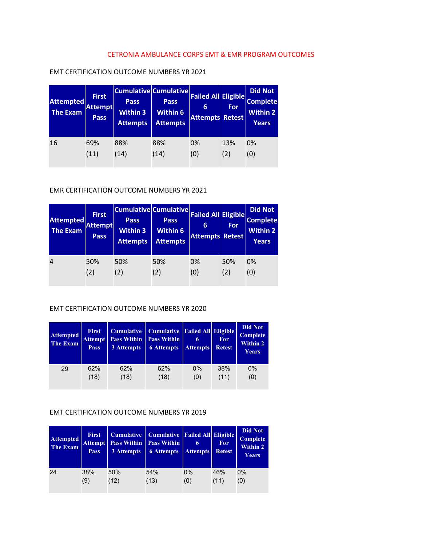# CETRONIA AMBULANCE CORPS EMT & EMR PROGRAM OUTCOMES

| <b>Attempted</b><br><b>The Exam</b> | <b>First</b><br><b>Attempt</b><br>Pass | Pass,<br><b>Within 3</b><br><b>Attempts</b> | <b>Cumulative Cumulative</b><br><b>Pass</b><br><b>Within 6</b><br><b>Attempts</b> | <b>Failed All Eligible</b><br>6<br><b>Attempts Retest</b> | For | <b>Did Not</b><br><b>Complete</b><br><b>Within 2</b><br><b>Years</b> |
|-------------------------------------|----------------------------------------|---------------------------------------------|-----------------------------------------------------------------------------------|-----------------------------------------------------------|-----|----------------------------------------------------------------------|
| 16                                  | 69%                                    | 88%                                         | 88%                                                                               | 0%                                                        | 13% | 0%                                                                   |
|                                     | (11)                                   | (14)                                        | (14)                                                                              | (0)                                                       | (2) | (0)                                                                  |

# EMT CERTIFICATION OUTCOME NUMBERS YR 2021

# EMR CERTIFICATION OUTCOME NUMBERS YR 2021

| <b>Attempted</b><br><b>The Exam</b> | <b>First</b><br><b>Attempt</b><br><b>Pass</b> | <b>Pass</b><br><b>Within 3</b><br><b>Attempts</b> | <b>Cumulative Cumulative</b><br><b>Pass</b><br>Within 6<br><b>Attempts</b> | <b>Failed All Eligible</b><br>6<br><b>Attempts Retest</b> | For | <b>Did Not</b><br><b>Complete</b><br><b>Within 2</b><br>Years |
|-------------------------------------|-----------------------------------------------|---------------------------------------------------|----------------------------------------------------------------------------|-----------------------------------------------------------|-----|---------------------------------------------------------------|
| $\overline{4}$                      | 50%                                           | 50%                                               | 50%                                                                        | 0%                                                        | 50% | 0%                                                            |
|                                     | (2)                                           | (2)                                               | (2)                                                                        | (0)                                                       | (2) | (0)                                                           |

# EMT CERTIFICATION OUTCOME NUMBERS YR 2020

| <b>Attempted</b><br><b>The Exam</b> | <b>First</b><br>Attempt<br><b>Pass</b> | <b>Cumulative</b><br><b>Pass Within</b><br>3 Attempts | <b>Cumulative</b><br><b>Pass Within</b><br><b>6</b> Attempts | <b>Failed All Eligible</b><br>6<br><b>Attempts</b> | For<br><b>Retest</b> | <b>Did Not</b><br><b>Complete</b><br><b>Within 2</b><br>Years |
|-------------------------------------|----------------------------------------|-------------------------------------------------------|--------------------------------------------------------------|----------------------------------------------------|----------------------|---------------------------------------------------------------|
| 29                                  | 62%                                    | 62%                                                   | 62%                                                          | $0\%$                                              | 38%                  | $0\%$                                                         |
|                                     | (18)                                   | (18)                                                  | (18)                                                         | (0)                                                | (11)                 | (0)                                                           |

## EMT CERTIFICATION OUTCOME NUMBERS YR 2019

| <b>Attempted</b><br><b>The Exam</b> | <b>First</b><br>Attempt  <br><b>Pass</b> | <b>Cumulative</b><br>3 Attempts | Cumulative   Failed All   Eligible  <br><b>Pass Within   Pass Within</b><br><b>6 Attempts</b> | 6<br><b>Attempts</b> | For<br><b>Retest</b> | Did Not<br><b>Complete</b><br>Within 2<br>Years |
|-------------------------------------|------------------------------------------|---------------------------------|-----------------------------------------------------------------------------------------------|----------------------|----------------------|-------------------------------------------------|
| 24                                  | 38%                                      | 50%                             | 54%                                                                                           | 0%                   | 46%                  | $0\%$                                           |
|                                     | (9)                                      | (12)                            | (13)                                                                                          | (0)                  | (11)                 | (0)                                             |